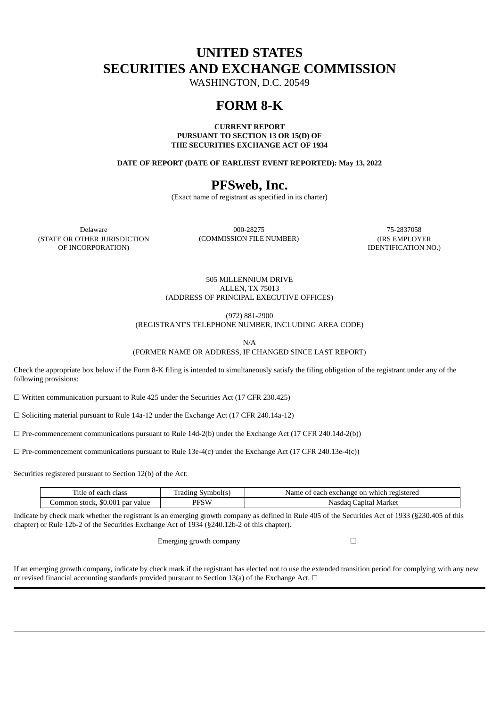# **UNITED STATES SECURITIES AND EXCHANGE COMMISSION**

WASHINGTON, D.C. 20549

# **FORM 8-K**

**CURRENT REPORT PURSUANT TO SECTION 13 OR 15(D) OF THE SECURITIES EXCHANGE ACT OF 1934**

**DATE OF REPORT (DATE OF EARLIEST EVENT REPORTED): May 13, 2022**

# **PFSweb, Inc.**

(Exact name of registrant as specified in its charter)

(STATE OR OTHER JURISDICTION OF INCORPORATION)

Delaware 000-28275 75-2837058 (COMMISSION FILE NUMBER) (IRS EMPLOYER

IDENTIFICATION NO.)

505 MILLENNIUM DRIVE ALLEN, TX 75013 (ADDRESS OF PRINCIPAL EXECUTIVE OFFICES)

(972) 881-2900

(REGISTRANT'S TELEPHONE NUMBER, INCLUDING AREA CODE)

N/A

(FORMER NAME OR ADDRESS, IF CHANGED SINCE LAST REPORT)

Check the appropriate box below if the Form 8-K filing is intended to simultaneously satisfy the filing obligation of the registrant under any of the following provisions:

 $\Box$  Written communication pursuant to Rule 425 under the Securities Act (17 CFR 230.425)

☐ Soliciting material pursuant to Rule 14a-12 under the Exchange Act (17 CFR 240.14a-12)

 $\Box$  Pre-commencement communications pursuant to Rule 14d-2(b) under the Exchange Act (17 CFR 240.14d-2(b))

 $\Box$  Pre-commencement communications pursuant to Rule 13e-4(c) under the Exchange Act (17 CFR 240.13e-4(c))

Securities registered pursuant to Section 12(b) of the Act:

| $-$<br>class<br>atle of<br>leach c | T<br>Symbol(s<br>radıng | t each exchange on which registered<br>Name of I |  |
|------------------------------------|-------------------------|--------------------------------------------------|--|
| Common stock, \$0.001 par value    | PFSW                    | Capital Marke<br>Nasdad                          |  |

Indicate by check mark whether the registrant is an emerging growth company as defined in Rule 405 of the Securities Act of 1933 (§230.405 of this chapter) or Rule 12b-2 of the Securities Exchange Act of 1934 (§240.12b-2 of this chapter).

Emerging growth company  $\Box$ 

If an emerging growth company, indicate by check mark if the registrant has elected not to use the extended transition period for complying with any new or revised financial accounting standards provided pursuant to Section 13(a) of the Exchange Act.  $\Box$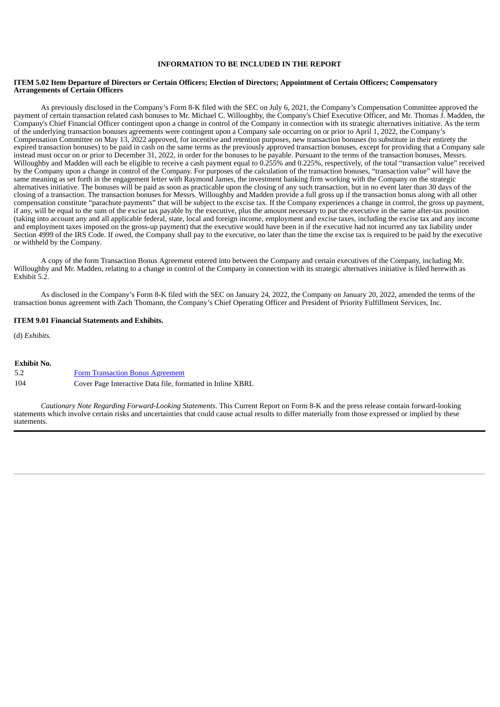### **INFORMATION TO BE INCLUDED IN THE REPORT**

#### ITEM 5.02 Item Departure of Directors or Certain Officers: Election of Directors: Appointment of Certain Officers: Compensatory **Arrangements of Certain Officers**

As previously disclosed in the Company's Form 8-K filed with the SEC on July 6, 2021, the Company's Compensation Committee approved the payment of certain transaction related cash bonuses to Mr. Michael C. Willoughby, the Company's Chief Executive Officer, and Mr. Thomas J. Madden, the Company's Chief Financial Officer contingent upon a change in control of the Company in connection with its strategic alternatives initiative. As the term of the underlying transaction bonuses agreements were contingent upon a Company sale occurring on or prior to April 1, 2022, the Company's Compensation Committee on May 13, 2022 approved, for incentive and retention purposes, new transaction bonuses (to substitute in their entirety the expired transaction bonuses) to be paid in cash on the same terms as the previously approved transaction bonuses, except for providing that a Company sale instead must occur on or prior to December 31, 2022, in order for the bonuses to be payable. Pursuant to the terms of the transaction bonuses, Messrs. Willoughby and Madden will each be eligible to receive a cash payment equal to 0.255% and 0.225%, respectively, of the total "transaction value" received by the Company upon a change in control of the Company. For purposes of the calculation of the transaction bonuses, "transaction value" will have the same meaning as set forth in the engagement letter with Raymond James, the investment banking firm working with the Company on the strategic alternatives initiative. The bonuses will be paid as soon as practicable upon the closing of any such transaction, but in no event later than 30 days of the closing of a transaction. The transaction bonuses for Messrs. Willoughby and Madden provide a full gross up if the transaction bonus along with all other compensation constitute "parachute payments" that will be subject to the excise tax. If the Company experiences a change in control, the gross up payment, if any, will be equal to the sum of the excise tax payable by the executive, plus the amount necessary to put the executive in the same after-tax position (taking into account any and all applicable federal, state, local and foreign income, employment and excise taxes, including the excise tax and any income and employment taxes imposed on the gross-up payment) that the executive would have been in if the executive had not incurred any tax liability under Section 4999 of the IRS Code. If owed, the Company shall pay to the executive, no later than the time the excise tax is required to be paid by the executive or withheld by the Company.

A copy of the form Transaction Bonus Agreement entered into between the Company and certain executives of the Company, including Mr. Willoughby and Mr. Madden, relating to a change in control of the Company in connection with its strategic alternatives initiative is filed herewith as Exhibit 5.2.

As disclosed in the Company's Form 8-K filed with the SEC on January 24, 2022, the Company on January 20, 2022, amended the terms of the transaction bonus agreement with Zach Thomann, the Company's Chief Operating Officer and President of Priority Fulfillment Services, Inc.

#### **ITEM 9.01 Financial Statements and Exhibits.**

(d) *Exhibits*.

#### **Exhibit No.**

| 5.2 | <b>Form Transaction Bonus Agreement</b>                    |
|-----|------------------------------------------------------------|
| 104 | Cover Page Interactive Data file, formatted in Inline XBRL |

*Cautionary Note Regarding Forward-Looking Statements*. This Current Report on Form 8-K and the press release contain forward-looking statements which involve certain risks and uncertainties that could cause actual results to differ materially from those expressed or implied by these statements.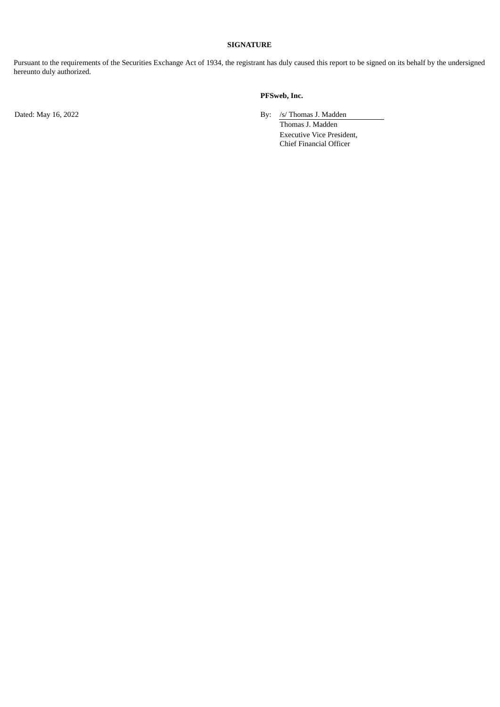### **SIGNATURE**

Pursuant to the requirements of the Securities Exchange Act of 1934, the registrant has duly caused this report to be signed on its behalf by the undersigned hereunto duly authorized.

# **PFSweb, Inc.**

Dated: May 16, 2022 By: /s/ Thomas J. Madden

Thomas J. Madden Executive Vice President, Chief Financial Officer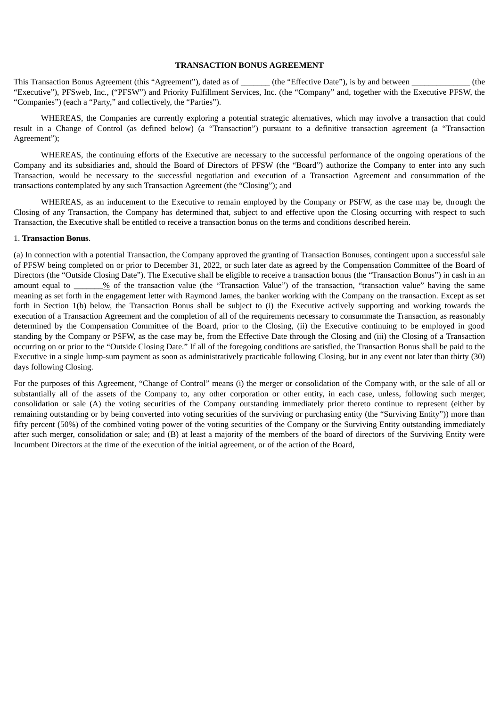# **TRANSACTION BONUS AGREEMENT**

<span id="page-3-0"></span>This Transaction Bonus Agreement (this "Agreement"), dated as of  $\qquad$  (the "Effective Date"), is by and between  $\qquad$  (the "Executive"), PFSweb, Inc., ("PFSW") and Priority Fulfillment Services, Inc. (the "Company" and, together with the Executive PFSW, the "Companies") (each a "Party," and collectively, the "Parties").

WHEREAS, the Companies are currently exploring a potential strategic alternatives, which may involve a transaction that could result in a Change of Control (as defined below) (a "Transaction") pursuant to a definitive transaction agreement (a "Transaction Agreement");

WHEREAS, the continuing efforts of the Executive are necessary to the successful performance of the ongoing operations of the Company and its subsidiaries and, should the Board of Directors of PFSW (the "Board") authorize the Company to enter into any such Transaction, would be necessary to the successful negotiation and execution of a Transaction Agreement and consummation of the transactions contemplated by any such Transaction Agreement (the "Closing"); and

WHEREAS, as an inducement to the Executive to remain employed by the Company or PSFW, as the case may be, through the Closing of any Transaction, the Company has determined that, subject to and effective upon the Closing occurring with respect to such Transaction, the Executive shall be entitled to receive a transaction bonus on the terms and conditions described herein.

### 1. **Transaction Bonus**.

(a) In connection with a potential Transaction, the Company approved the granting of Transaction Bonuses, contingent upon a successful sale of PFSW being completed on or prior to December 31, 2022, or such later date as agreed by the Compensation Committee of the Board of Directors (the "Outside Closing Date"). The Executive shall be eligible to receive a transaction bonus (the "Transaction Bonus") in cash in an amount equal to  $\%$  of the transaction value (the "Transaction Value") of the transaction, "transaction value" having the same meaning as set forth in the engagement letter with Raymond James, the banker working with the Company on the transaction. Except as set forth in Section 1(b) below, the Transaction Bonus shall be subject to (i) the Executive actively supporting and working towards the execution of a Transaction Agreement and the completion of all of the requirements necessary to consummate the Transaction, as reasonably determined by the Compensation Committee of the Board, prior to the Closing, (ii) the Executive continuing to be employed in good standing by the Company or PSFW, as the case may be, from the Effective Date through the Closing and (iii) the Closing of a Transaction occurring on or prior to the "Outside Closing Date." If all of the foregoing conditions are satisfied, the Transaction Bonus shall be paid to the Executive in a single lump-sum payment as soon as administratively practicable following Closing, but in any event not later than thirty (30) days following Closing.

For the purposes of this Agreement, "Change of Control" means (i) the merger or consolidation of the Company with, or the sale of all or substantially all of the assets of the Company to, any other corporation or other entity, in each case, unless, following such merger, consolidation or sale (A) the voting securities of the Company outstanding immediately prior thereto continue to represent (either by remaining outstanding or by being converted into voting securities of the surviving or purchasing entity (the "Surviving Entity")) more than fifty percent (50%) of the combined voting power of the voting securities of the Company or the Surviving Entity outstanding immediately after such merger, consolidation or sale; and (B) at least a majority of the members of the board of directors of the Surviving Entity were Incumbent Directors at the time of the execution of the initial agreement, or of the action of the Board,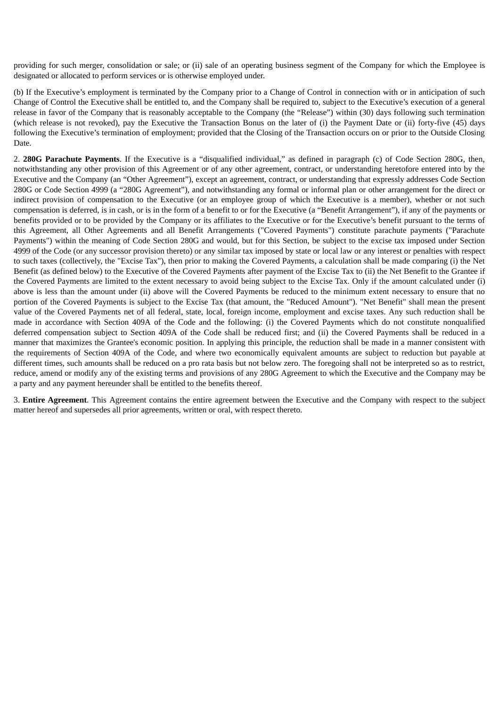providing for such merger, consolidation or sale; or (ii) sale of an operating business segment of the Company for which the Employee is designated or allocated to perform services or is otherwise employed under.

(b) If the Executive's employment is terminated by the Company prior to a Change of Control in connection with or in anticipation of such Change of Control the Executive shall be entitled to, and the Company shall be required to, subject to the Executive's execution of a general release in favor of the Company that is reasonably acceptable to the Company (the "Release") within (30) days following such termination (which release is not revoked), pay the Executive the Transaction Bonus on the later of (i) the Payment Date or (ii) forty-five (45) days following the Executive's termination of employment; provided that the Closing of the Transaction occurs on or prior to the Outside Closing Date.

2. **280G Parachute Payments**. If the Executive is a "disqualified individual," as defined in paragraph (c) of Code Section 280G, then, notwithstanding any other provision of this Agreement or of any other agreement, contract, or understanding heretofore entered into by the Executive and the Company (an "Other Agreement"), except an agreement, contract, or understanding that expressly addresses Code Section 280G or Code Section 4999 (a "280G Agreement"), and notwithstanding any formal or informal plan or other arrangement for the direct or indirect provision of compensation to the Executive (or an employee group of which the Executive is a member), whether or not such compensation is deferred, is in cash, or is in the form of a benefit to or for the Executive (a "Benefit Arrangement"), if any of the payments or benefits provided or to be provided by the Company or its affiliates to the Executive or for the Executive's benefit pursuant to the terms of this Agreement, all Other Agreements and all Benefit Arrangements ("Covered Payments") constitute parachute payments ("Parachute Payments") within the meaning of Code Section 280G and would, but for this Section, be subject to the excise tax imposed under Section 4999 of the Code (or any successor provision thereto) or any similar tax imposed by state or local law or any interest or penalties with respect to such taxes (collectively, the "Excise Tax"), then prior to making the Covered Payments, a calculation shall be made comparing (i) the Net Benefit (as defined below) to the Executive of the Covered Payments after payment of the Excise Tax to (ii) the Net Benefit to the Grantee if the Covered Payments are limited to the extent necessary to avoid being subject to the Excise Tax. Only if the amount calculated under (i) above is less than the amount under (ii) above will the Covered Payments be reduced to the minimum extent necessary to ensure that no portion of the Covered Payments is subject to the Excise Tax (that amount, the "Reduced Amount"). "Net Benefit" shall mean the present value of the Covered Payments net of all federal, state, local, foreign income, employment and excise taxes. Any such reduction shall be made in accordance with Section 409A of the Code and the following: (i) the Covered Payments which do not constitute nonqualified deferred compensation subject to Section 409A of the Code shall be reduced first; and (ii) the Covered Payments shall be reduced in a manner that maximizes the Grantee's economic position. In applying this principle, the reduction shall be made in a manner consistent with the requirements of Section 409A of the Code, and where two economically equivalent amounts are subject to reduction but payable at different times, such amounts shall be reduced on a pro rata basis but not below zero. The foregoing shall not be interpreted so as to restrict, reduce, amend or modify any of the existing terms and provisions of any 280G Agreement to which the Executive and the Company may be a party and any payment hereunder shall be entitled to the benefits thereof.

3. **Entire Agreement**. This Agreement contains the entire agreement between the Executive and the Company with respect to the subject matter hereof and supersedes all prior agreements, written or oral, with respect thereto.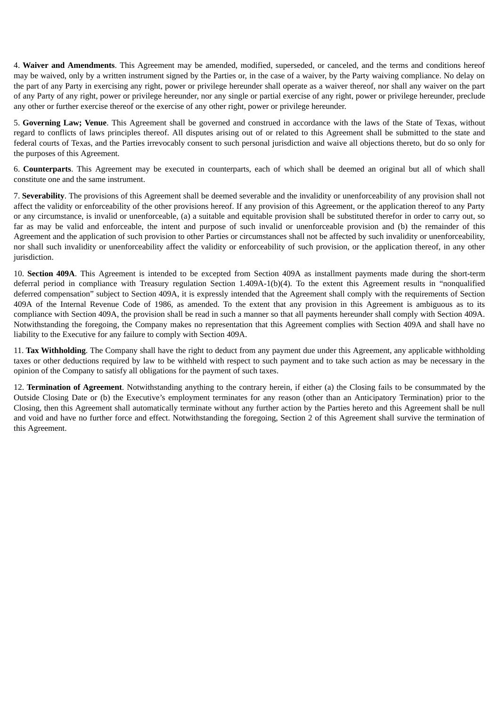4. **Waiver and Amendments**. This Agreement may be amended, modified, superseded, or canceled, and the terms and conditions hereof may be waived, only by a written instrument signed by the Parties or, in the case of a waiver, by the Party waiving compliance. No delay on the part of any Party in exercising any right, power or privilege hereunder shall operate as a waiver thereof, nor shall any waiver on the part of any Party of any right, power or privilege hereunder, nor any single or partial exercise of any right, power or privilege hereunder, preclude any other or further exercise thereof or the exercise of any other right, power or privilege hereunder.

5. **Governing Law; Venue**. This Agreement shall be governed and construed in accordance with the laws of the State of Texas, without regard to conflicts of laws principles thereof. All disputes arising out of or related to this Agreement shall be submitted to the state and federal courts of Texas, and the Parties irrevocably consent to such personal jurisdiction and waive all objections thereto, but do so only for the purposes of this Agreement.

6. **Counterparts**. This Agreement may be executed in counterparts, each of which shall be deemed an original but all of which shall constitute one and the same instrument.

7. **Severability**. The provisions of this Agreement shall be deemed severable and the invalidity or unenforceability of any provision shall not affect the validity or enforceability of the other provisions hereof. If any provision of this Agreement, or the application thereof to any Party or any circumstance, is invalid or unenforceable, (a) a suitable and equitable provision shall be substituted therefor in order to carry out, so far as may be valid and enforceable, the intent and purpose of such invalid or unenforceable provision and (b) the remainder of this Agreement and the application of such provision to other Parties or circumstances shall not be affected by such invalidity or unenforceability, nor shall such invalidity or unenforceability affect the validity or enforceability of such provision, or the application thereof, in any other jurisdiction.

10. **Section 409A**. This Agreement is intended to be excepted from Section 409A as installment payments made during the short-term deferral period in compliance with Treasury regulation Section 1.409A-1(b)(4). To the extent this Agreement results in "nonqualified deferred compensation" subject to Section 409A, it is expressly intended that the Agreement shall comply with the requirements of Section 409A of the Internal Revenue Code of 1986, as amended. To the extent that any provision in this Agreement is ambiguous as to its compliance with Section 409A, the provision shall be read in such a manner so that all payments hereunder shall comply with Section 409A. Notwithstanding the foregoing, the Company makes no representation that this Agreement complies with Section 409A and shall have no liability to the Executive for any failure to comply with Section 409A.

11. **Tax Withholding**. The Company shall have the right to deduct from any payment due under this Agreement, any applicable withholding taxes or other deductions required by law to be withheld with respect to such payment and to take such action as may be necessary in the opinion of the Company to satisfy all obligations for the payment of such taxes.

12. **Termination of Agreement**. Notwithstanding anything to the contrary herein, if either (a) the Closing fails to be consummated by the Outside Closing Date or (b) the Executive's employment terminates for any reason (other than an Anticipatory Termination) prior to the Closing, then this Agreement shall automatically terminate without any further action by the Parties hereto and this Agreement shall be null and void and have no further force and effect. Notwithstanding the foregoing, Section 2 of this Agreement shall survive the termination of this Agreement.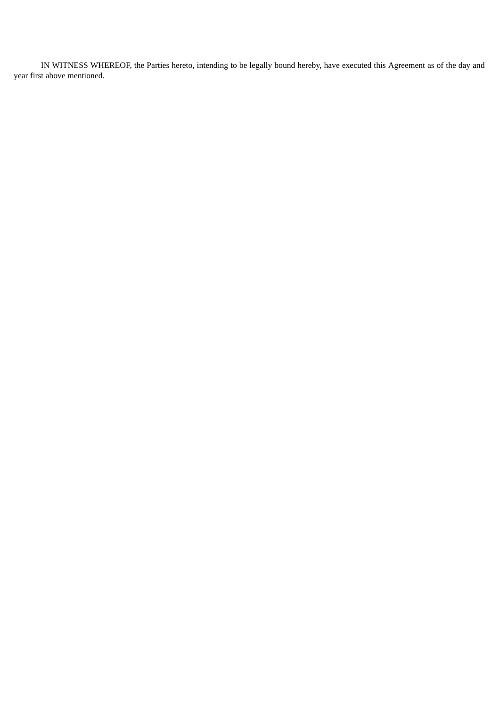IN WITNESS WHEREOF, the Parties hereto, intending to be legally bound hereby, have executed this Agreement as of the day and year first above mentioned.